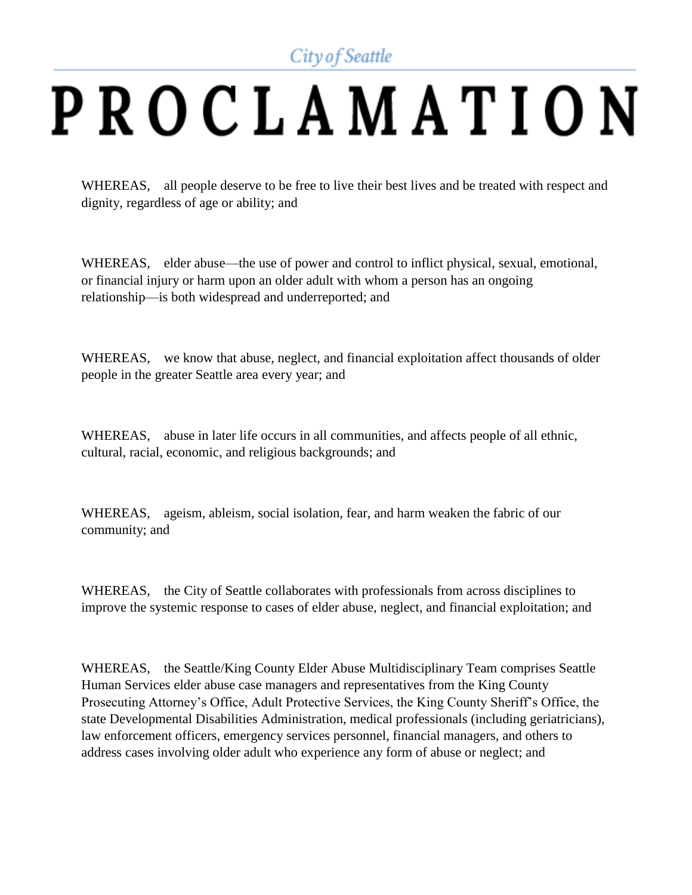City of Seattle

## PROCLAMATION

WHEREAS, all people deserve to be free to live their best lives and be treated with respect and dignity, regardless of age or ability; and

WHEREAS, elder abuse—the use of power and control to inflict physical, sexual, emotional, or financial injury or harm upon an older adult with whom a person has an ongoing relationship—is both widespread and underreported; and

WHEREAS, we know that abuse, neglect, and financial exploitation affect thousands of older people in the greater Seattle area every year; and

WHEREAS, abuse in later life occurs in all communities, and affects people of all ethnic, cultural, racial, economic, and religious backgrounds; and

WHEREAS, ageism, ableism, social isolation, fear, and harm weaken the fabric of our community; and

WHEREAS, the City of Seattle collaborates with professionals from across disciplines to improve the systemic response to cases of elder abuse, neglect, and financial exploitation; and

WHEREAS, the Seattle/King County Elder Abuse Multidisciplinary Team comprises Seattle Human Services elder abuse case managers and representatives from the King County Prosecuting Attorney's Office, Adult Protective Services, the King County Sheriff's Office, the state Developmental Disabilities Administration, medical professionals (including geriatricians), law enforcement officers, emergency services personnel, financial managers, and others to address cases involving older adult who experience any form of abuse or neglect; and